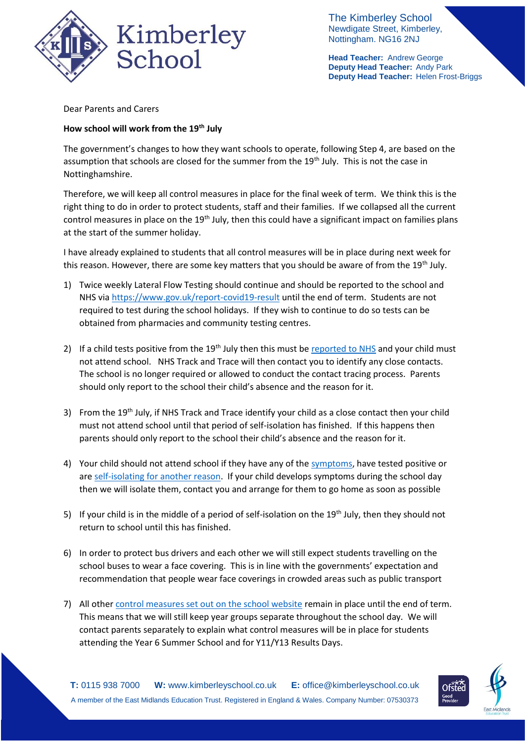

The Kimberley School Newdigate Street, Kimberley, Nottingham. NG16 2NJ

**Head Teacher:** Andrew George **Deputy Head Teacher:** Andy Park **Deputy Head Teacher:** Helen Frost-Briggs

Dear Parents and Carers

## **How school will work from the 19th July**

The government's changes to how they want schools to operate, following Step 4, are based on the assumption that schools are closed for the summer from the 19<sup>th</sup> July. This is not the case in Nottinghamshire.

Therefore, we will keep all control measures in place for the final week of term. We think this is the right thing to do in order to protect students, staff and their families. If we collapsed all the current control measures in place on the 19<sup>th</sup> July, then this could have a significant impact on families plans at the start of the summer holiday.

I have already explained to students that all control measures will be in place during next week for this reason. However, there are some key matters that you should be aware of from the 19<sup>th</sup> July.

- 1) Twice weekly Lateral Flow Testing should continue and should be reported to the school and NHS vi[a https://www.gov.uk/report-covid19-result](https://www.gov.uk/report-covid19-result) until the end of term. Students are not required to test during the school holidays. If they wish to continue to do so tests can be obtained from pharmacies and community testing centres.
- 2) If a child tests positive from the  $19<sup>th</sup>$  July then this must be [reported to NHS](https://www.gov.uk/report-covid19-result) and your child must not attend school. NHS Track and Trace will then contact you to identify any close contacts. The school is no longer required or allowed to conduct the contact tracing process. Parents should only report to the school their child's absence and the reason for it.
- 3) From the 19<sup>th</sup> July, if NHS Track and Trace identify your child as a close contact then your child must not attend school until that period of self-isolation has finished. If this happens then parents should only report to the school their child's absence and the reason for it.
- 4) Your child should not attend school if they have any of the [symptoms,](https://www.nhs.uk/conditions/coronavirus-covid-19/symptoms/) have tested positive or are [self-isolating for another reason.](https://www.nhs.uk/conditions/coronavirus-covid-19/self-isolation-and-treatment/when-to-self-isolate-and-what-to-do/) If your child develops symptoms during the school day then we will isolate them, contact you and arrange for them to go home as soon as possible
- 5) If your child is in the middle of a period of self-isolation on the 19<sup>th</sup> July, then they should not return to school until this has finished.
- 6) In order to protect bus drivers and each other we will still expect students travelling on the school buses to wear a face covering. This is in line with the governments' expectation and recommendation that people wear face coverings in crowded areas such as public transport
- 7) All other [control measures set out on the school website](https://www.kimberleyschool.co.uk/septemberopening) remain in place until the end of term. This means that we will still keep year groups separate throughout the school day. We will contact parents separately to explain what control measures will be in place for students attending the Year 6 Summer School and for Y11/Y13 Results Days.